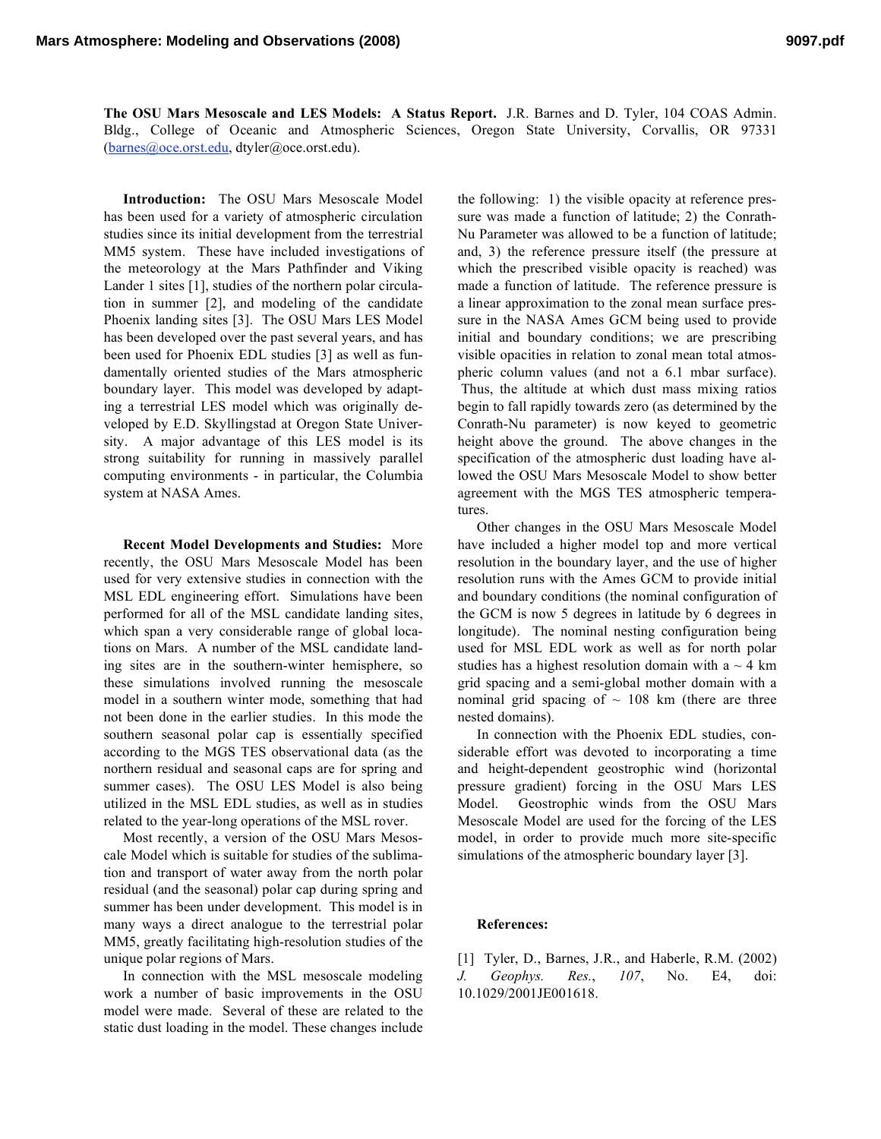**The OSU Mars Mesoscale and LES Models: A Status Report.** J.R. Barnes and D. Tyler, 104 COAS Admin. Bldg., College of Oceanic and Atmospheric Sciences, Oregon State University, Corvallis, OR 97331 (barnes@oce.orst.edu, dtyler@oce.orst.edu).

**Introduction:** The OSU Mars Mesoscale Model has been used for a variety of atmospheric circulation studies since its initial development from the terrestrial MM5 system. These have included investigations of the meteorology at the Mars Pathfinder and Viking Lander 1 sites [1], studies of the northern polar circulation in summer [2], and modeling of the candidate Phoenix landing sites [3]. The OSU Mars LES Model has been developed over the past several years, and has been used for Phoenix EDL studies [3] as well as fundamentally oriented studies of the Mars atmospheric boundary layer. This model was developed by adapting a terrestrial LES model which was originally developed by E.D. Skyllingstad at Oregon State University. A major advantage of this LES model is its strong suitability for running in massively parallel computing environments - in particular, the Columbia system at NASA Ames.

**Recent Model Developments and Studies:** More recently, the OSU Mars Mesoscale Model has been used for very extensive studies in connection with the MSL EDL engineering effort. Simulations have been performed for all of the MSL candidate landing sites, which span a very considerable range of global locations on Mars. A number of the MSL candidate landing sites are in the southern-winter hemisphere, so these simulations involved running the mesoscale model in a southern winter mode, something that had not been done in the earlier studies. In this mode the southern seasonal polar cap is essentially specified according to the MGS TES observational data (as the northern residual and seasonal caps are for spring and summer cases). The OSU LES Model is also being utilized in the MSL EDL studies, as well as in studies related to the year-long operations of the MSL rover.

Most recently, a version of the OSU Mars Mesoscale Model which is suitable for studies of the sublimation and transport of water away from the north polar residual (and the seasonal) polar cap during spring and summer has been under development. This model is in many ways a direct analogue to the terrestrial polar MM5, greatly facilitating high-resolution studies of the unique polar regions of Mars.

In connection with the MSL mesoscale modeling work a number of basic improvements in the OSU model were made. Several of these are related to the static dust loading in the model. These changes include the following: 1) the visible opacity at reference pressure was made a function of latitude; 2) the Conrath-Nu Parameter was allowed to be a function of latitude; and, 3) the reference pressure itself (the pressure at which the prescribed visible opacity is reached) was made a function of latitude. The reference pressure is a linear approximation to the zonal mean surface pressure in the NASA Ames GCM being used to provide initial and boundary conditions; we are prescribing visible opacities in relation to zonal mean total atmospheric column values (and not a 6.1 mbar surface). Thus, the altitude at which dust mass mixing ratios begin to fall rapidly towards zero (as determined by the Conrath-Nu parameter) is now keyed to geometric height above the ground. The above changes in the specification of the atmospheric dust loading have allowed the OSU Mars Mesoscale Model to show better agreement with the MGS TES atmospheric temperatures.

Other changes in the OSU Mars Mesoscale Model have included a higher model top and more vertical resolution in the boundary layer, and the use of higher resolution runs with the Ames GCM to provide initial and boundary conditions (the nominal configuration of the GCM is now 5 degrees in latitude by 6 degrees in longitude). The nominal nesting configuration being used for MSL EDL work as well as for north polar studies has a highest resolution domain with a  $\sim$  4 km grid spacing and a semi-global mother domain with a nominal grid spacing of  $\sim$  108 km (there are three nested domains).

In connection with the Phoenix EDL studies, considerable effort was devoted to incorporating a time and height-dependent geostrophic wind (horizontal pressure gradient) forcing in the OSU Mars LES Model. Geostrophic winds from the OSU Mars Mesoscale Model are used for the forcing of the LES model, in order to provide much more site-specific simulations of the atmospheric boundary layer [3].

## **References:**

[1] Tyler, D., Barnes, J.R., and Haberle, R.M. (2002) *J. Geophys. Res.*, *107*, No. E4, doi: 10.1029/2001JE001618.